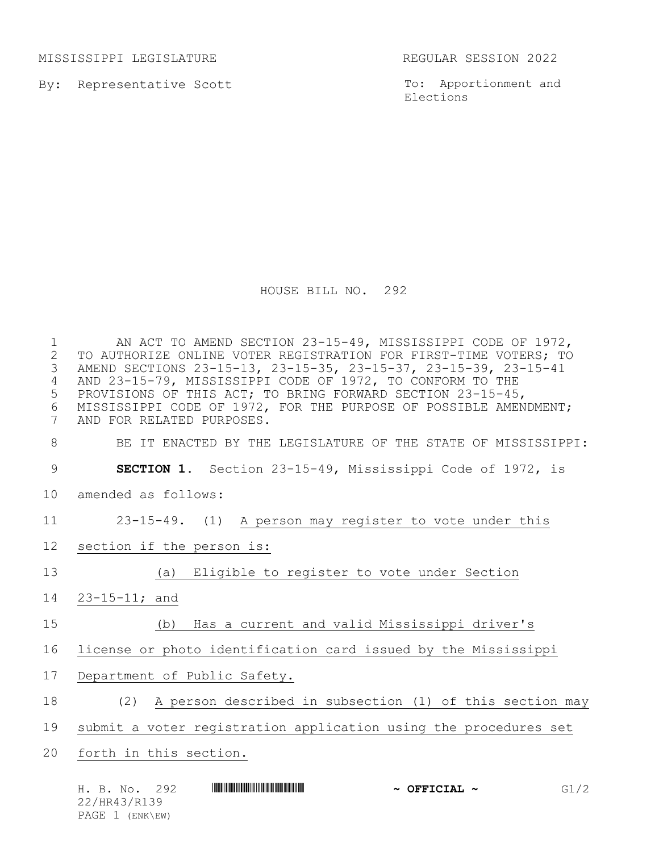MISSISSIPPI LEGISLATURE REGULAR SESSION 2022

By: Representative Scott

To: Apportionment and Elections

HOUSE BILL NO. 292

 AN ACT TO AMEND SECTION 23-15-49, MISSISSIPPI CODE OF 1972, 2 TO AUTHORIZE ONLINE VOTER REGISTRATION FOR FIRST-TIME VOTERS; TO<br>3 AMEND SECTIONS 23-15-13, 23-15-35, 23-15-37, 23-15-39, 23-15-41 AMEND SECTIONS 23-15-13, 23-15-35, 23-15-37, 23-15-39, 23-15-41 AND 23-15-79, MISSISSIPPI CODE OF 1972, TO CONFORM TO THE PROVISIONS OF THIS ACT; TO BRING FORWARD SECTION 23-15-45, MISSISSIPPI CODE OF 1972, FOR THE PURPOSE OF POSSIBLE AMENDMENT; AND FOR RELATED PURPOSES. BE IT ENACTED BY THE LEGISLATURE OF THE STATE OF MISSISSIPPI: **SECTION 1.** Section 23-15-49, Mississippi Code of 1972, is amended as follows: 23-15-49. (1) A person may register to vote under this section if the person is: (a) Eligible to register to vote under Section 23-15-11; and (b) Has a current and valid Mississippi driver's license or photo identification card issued by the Mississippi Department of Public Safety. (2) A person described in subsection (1) of this section may submit a voter registration application using the procedures set forth in this section.

H. B. No. 292 **HR43 And Allis And Allis And Allis And Allis And Allis And Allis And Allis And Allis And Allis** 22/HR43/R139 PAGE 1 (ENK\EW)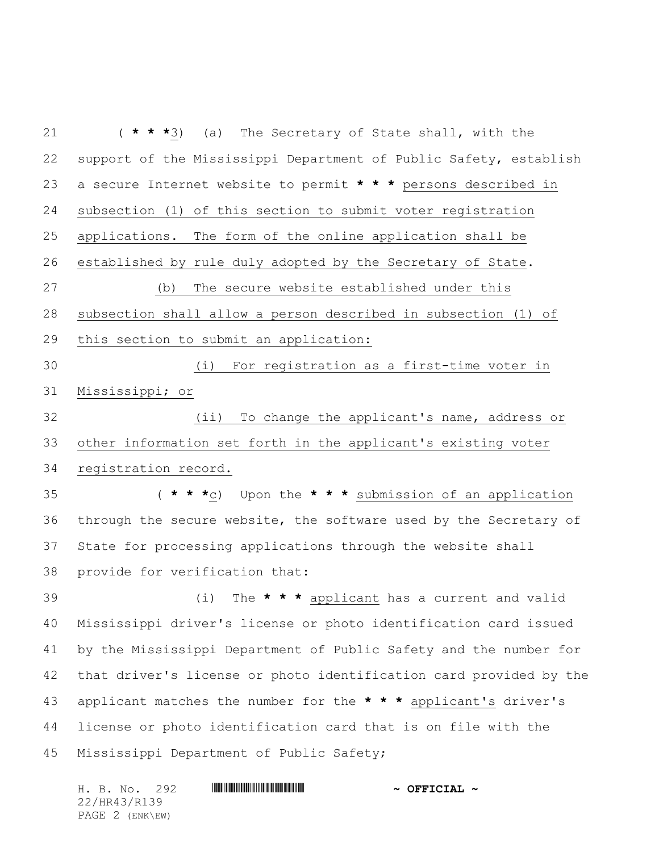( **\* \* \***3) (a) The Secretary of State shall, with the support of the Mississippi Department of Public Safety, establish a secure Internet website to permit **\* \* \*** persons described in subsection (1) of this section to submit voter registration applications. The form of the online application shall be established by rule duly adopted by the Secretary of State. (b) The secure website established under this subsection shall allow a person described in subsection (1) of this section to submit an application: (i) For registration as a first-time voter in Mississippi; or (ii) To change the applicant's name, address or other information set forth in the applicant's existing voter registration record. ( **\* \* \***c) Upon the **\* \* \*** submission of an application through the secure website, the software used by the Secretary of State for processing applications through the website shall provide for verification that: (i) The **\* \* \*** applicant has a current and valid Mississippi driver's license or photo identification card issued by the Mississippi Department of Public Safety and the number for that driver's license or photo identification card provided by the applicant matches the number for the **\* \* \*** applicant's driver's license or photo identification card that is on file with the Mississippi Department of Public Safety;

H. B. No. 292 **. AND AND AN ART AND AN ART AND A OFFICIAL ~** 22/HR43/R139 PAGE 2 (ENK\EW)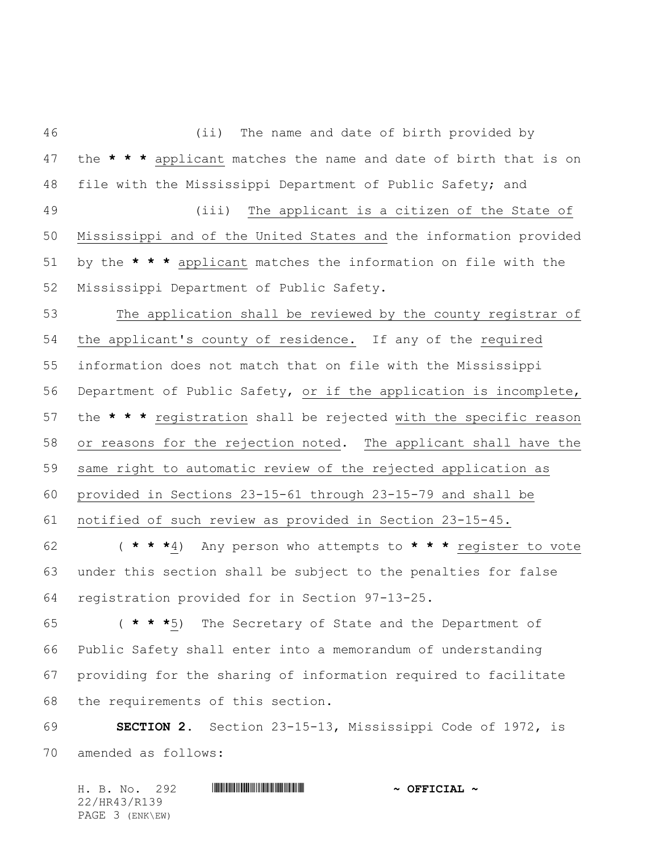(ii) The name and date of birth provided by the **\* \* \*** applicant matches the name and date of birth that is on file with the Mississippi Department of Public Safety; and (iii) The applicant is a citizen of the State of Mississippi and of the United States and the information provided by the **\* \* \*** applicant matches the information on file with the Mississippi Department of Public Safety. The application shall be reviewed by the county registrar of the applicant's county of residence. If any of the required information does not match that on file with the Mississippi Department of Public Safety, or if the application is incomplete, the **\* \* \*** registration shall be rejected with the specific reason or reasons for the rejection noted. The applicant shall have the same right to automatic review of the rejected application as provided in Sections 23-15-61 through 23-15-79 and shall be notified of such review as provided in Section 23-15-45. ( **\* \* \***4) Any person who attempts to **\* \* \*** register to vote under this section shall be subject to the penalties for false registration provided for in Section 97-13-25. ( **\* \* \***5) The Secretary of State and the Department of Public Safety shall enter into a memorandum of understanding providing for the sharing of information required to facilitate the requirements of this section.

 **SECTION 2.** Section 23-15-13, Mississippi Code of 1972, is amended as follows:

H. B. No. 292 **. AND AND AN ART AND AN ART AND A OFFICIAL ~** 22/HR43/R139 PAGE 3 (ENK\EW)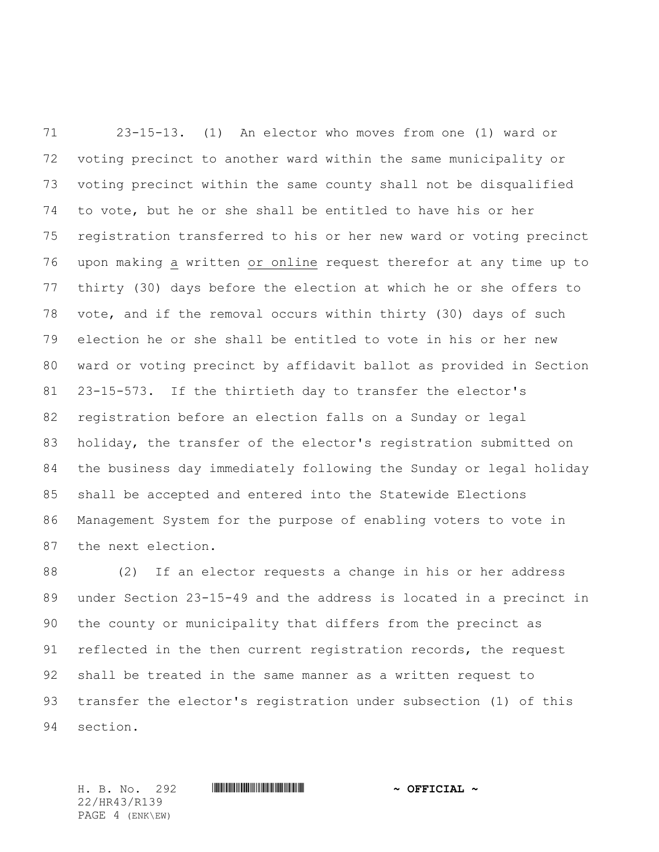23-15-13. (1) An elector who moves from one (1) ward or voting precinct to another ward within the same municipality or voting precinct within the same county shall not be disqualified to vote, but he or she shall be entitled to have his or her registration transferred to his or her new ward or voting precinct upon making a written or online request therefor at any time up to thirty (30) days before the election at which he or she offers to vote, and if the removal occurs within thirty (30) days of such election he or she shall be entitled to vote in his or her new ward or voting precinct by affidavit ballot as provided in Section 23-15-573. If the thirtieth day to transfer the elector's registration before an election falls on a Sunday or legal holiday, the transfer of the elector's registration submitted on the business day immediately following the Sunday or legal holiday shall be accepted and entered into the Statewide Elections Management System for the purpose of enabling voters to vote in the next election.

 (2) If an elector requests a change in his or her address under Section 23-15-49 and the address is located in a precinct in the county or municipality that differs from the precinct as reflected in the then current registration records, the request shall be treated in the same manner as a written request to transfer the elector's registration under subsection (1) of this section.

22/HR43/R139 PAGE 4 (ENK\EW)

H. B. No. 292 \*HR43/R139\* **~ OFFICIAL ~**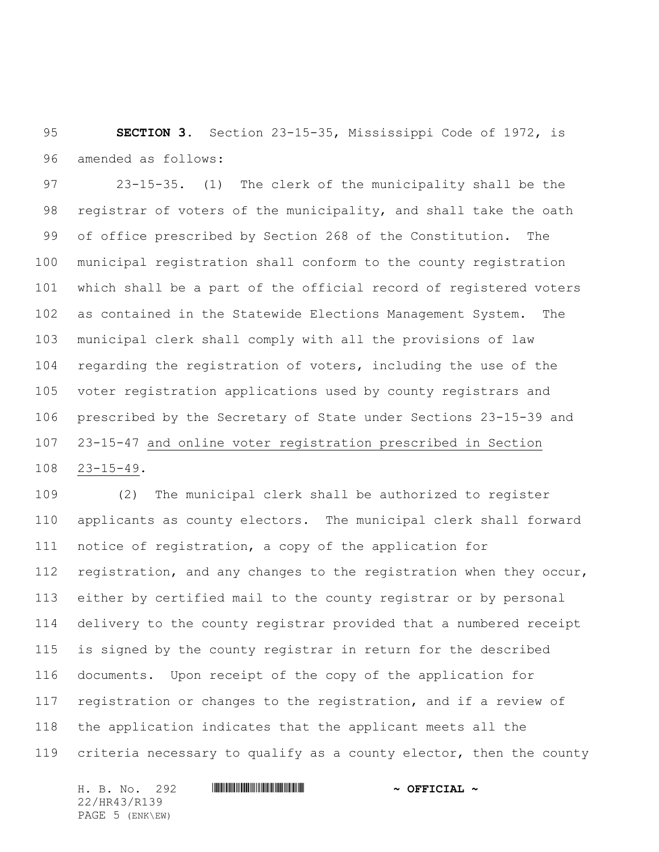**SECTION 3.** Section 23-15-35, Mississippi Code of 1972, is amended as follows:

 23-15-35. (1) The clerk of the municipality shall be the registrar of voters of the municipality, and shall take the oath of office prescribed by Section 268 of the Constitution. The municipal registration shall conform to the county registration which shall be a part of the official record of registered voters as contained in the Statewide Elections Management System. The municipal clerk shall comply with all the provisions of law regarding the registration of voters, including the use of the voter registration applications used by county registrars and prescribed by the Secretary of State under Sections 23-15-39 and 23-15-47 and online voter registration prescribed in Section 23-15-49.

 (2) The municipal clerk shall be authorized to register applicants as county electors. The municipal clerk shall forward notice of registration, a copy of the application for registration, and any changes to the registration when they occur, either by certified mail to the county registrar or by personal delivery to the county registrar provided that a numbered receipt is signed by the county registrar in return for the described documents. Upon receipt of the copy of the application for registration or changes to the registration, and if a review of the application indicates that the applicant meets all the criteria necessary to qualify as a county elector, then the county

H. B. No. 292 **. AND AND AN ART AND AN ART AND A OFFICIAL ~** 22/HR43/R139 PAGE 5 (ENK\EW)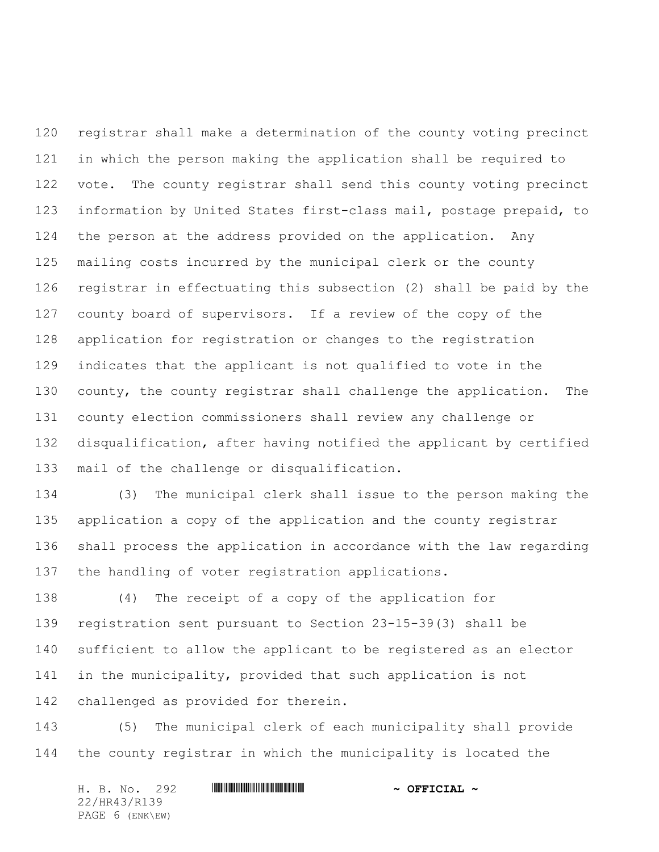registrar shall make a determination of the county voting precinct in which the person making the application shall be required to vote. The county registrar shall send this county voting precinct information by United States first-class mail, postage prepaid, to the person at the address provided on the application. Any mailing costs incurred by the municipal clerk or the county registrar in effectuating this subsection (2) shall be paid by the county board of supervisors. If a review of the copy of the application for registration or changes to the registration indicates that the applicant is not qualified to vote in the 130 county, the county registrar shall challenge the application. The county election commissioners shall review any challenge or disqualification, after having notified the applicant by certified mail of the challenge or disqualification.

 (3) The municipal clerk shall issue to the person making the application a copy of the application and the county registrar shall process the application in accordance with the law regarding the handling of voter registration applications.

 (4) The receipt of a copy of the application for registration sent pursuant to Section 23-15-39(3) shall be sufficient to allow the applicant to be registered as an elector in the municipality, provided that such application is not challenged as provided for therein.

 (5) The municipal clerk of each municipality shall provide the county registrar in which the municipality is located the

H. B. No. 292 **. AND AND AN ART AND AN ART AND A OFFICIAL ~** 22/HR43/R139 PAGE 6 (ENK\EW)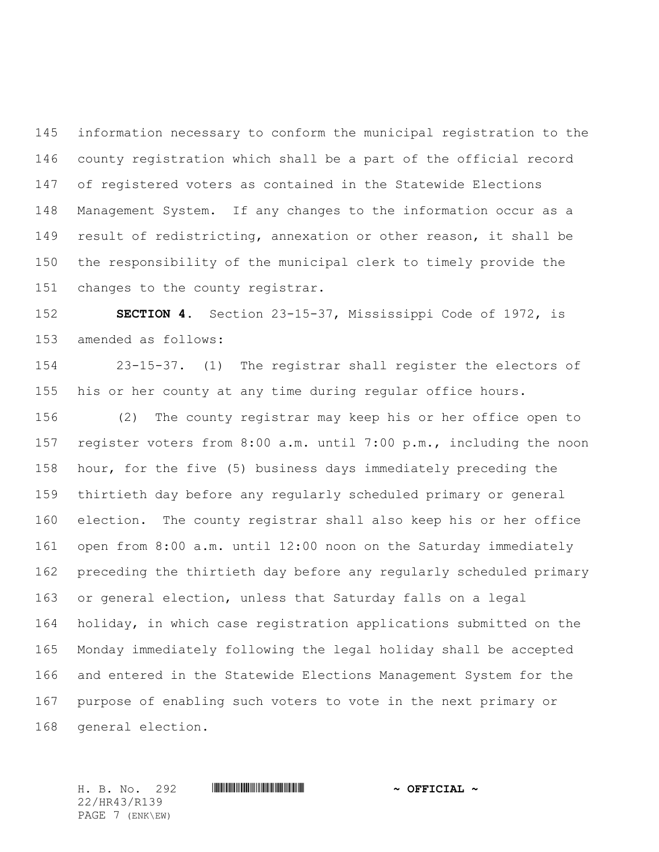information necessary to conform the municipal registration to the county registration which shall be a part of the official record of registered voters as contained in the Statewide Elections Management System. If any changes to the information occur as a result of redistricting, annexation or other reason, it shall be the responsibility of the municipal clerk to timely provide the changes to the county registrar.

 **SECTION 4.** Section 23-15-37, Mississippi Code of 1972, is amended as follows:

 23-15-37. (1) The registrar shall register the electors of his or her county at any time during regular office hours.

 (2) The county registrar may keep his or her office open to register voters from 8:00 a.m. until 7:00 p.m., including the noon hour, for the five (5) business days immediately preceding the thirtieth day before any regularly scheduled primary or general election. The county registrar shall also keep his or her office open from 8:00 a.m. until 12:00 noon on the Saturday immediately preceding the thirtieth day before any regularly scheduled primary or general election, unless that Saturday falls on a legal holiday, in which case registration applications submitted on the Monday immediately following the legal holiday shall be accepted and entered in the Statewide Elections Management System for the purpose of enabling such voters to vote in the next primary or general election.

22/HR43/R139 PAGE 7 (ENK\EW)

H. B. No. 292 \*HR43/R139\* **~ OFFICIAL ~**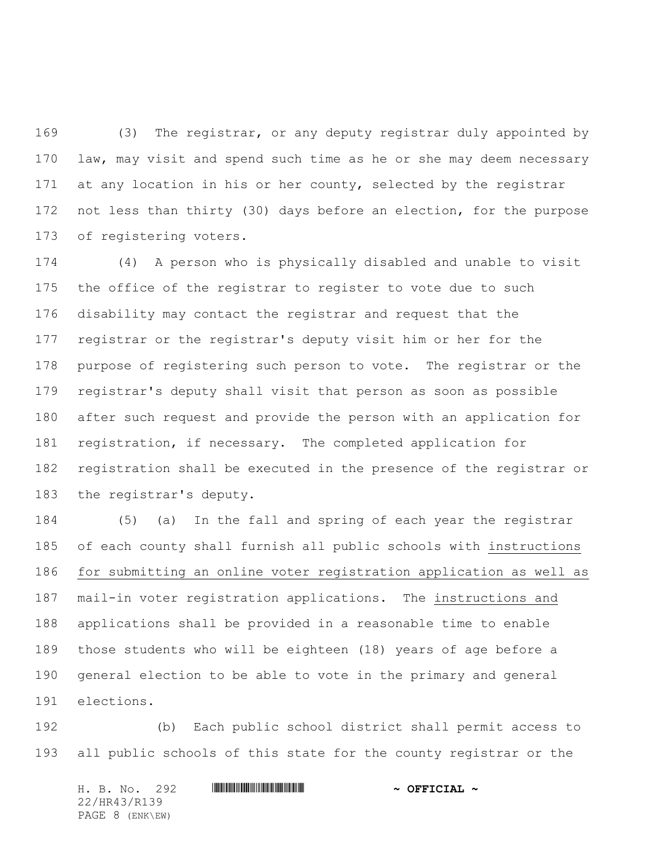(3) The registrar, or any deputy registrar duly appointed by law, may visit and spend such time as he or she may deem necessary 171 at any location in his or her county, selected by the registrar not less than thirty (30) days before an election, for the purpose of registering voters.

 (4) A person who is physically disabled and unable to visit the office of the registrar to register to vote due to such disability may contact the registrar and request that the registrar or the registrar's deputy visit him or her for the purpose of registering such person to vote. The registrar or the registrar's deputy shall visit that person as soon as possible after such request and provide the person with an application for registration, if necessary. The completed application for registration shall be executed in the presence of the registrar or the registrar's deputy.

 (5) (a) In the fall and spring of each year the registrar of each county shall furnish all public schools with instructions for submitting an online voter registration application as well as mail-in voter registration applications. The instructions and applications shall be provided in a reasonable time to enable those students who will be eighteen (18) years of age before a general election to be able to vote in the primary and general elections.

 (b) Each public school district shall permit access to all public schools of this state for the county registrar or the

H. B. No. 292 \*HR43/R139\* **~ OFFICIAL ~** 22/HR43/R139 PAGE 8 (ENK\EW)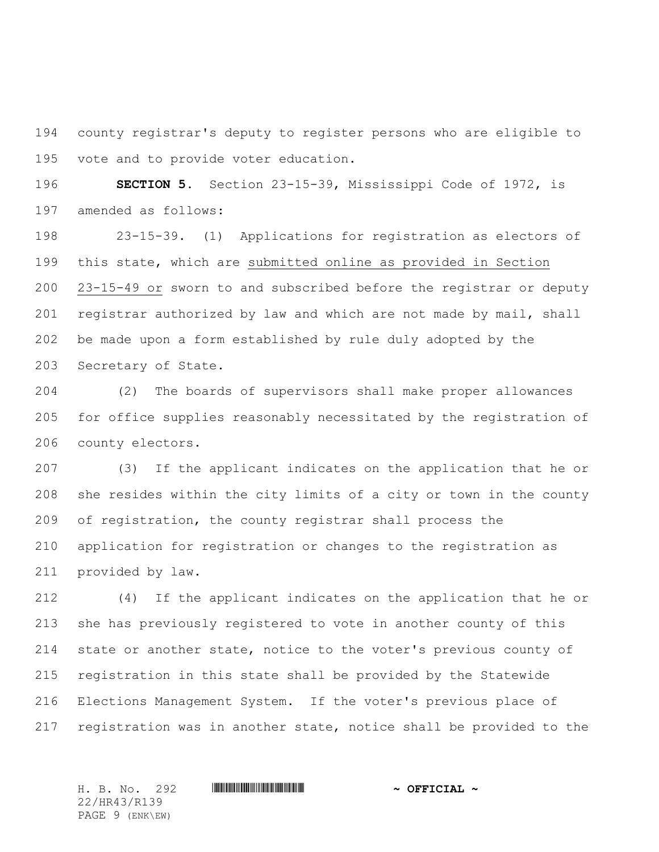county registrar's deputy to register persons who are eligible to vote and to provide voter education.

 **SECTION 5.** Section 23-15-39, Mississippi Code of 1972, is amended as follows:

 23-15-39. (1) Applications for registration as electors of this state, which are submitted online as provided in Section 23-15-49 or sworn to and subscribed before the registrar or deputy registrar authorized by law and which are not made by mail, shall be made upon a form established by rule duly adopted by the Secretary of State.

 (2) The boards of supervisors shall make proper allowances for office supplies reasonably necessitated by the registration of county electors.

 (3) If the applicant indicates on the application that he or she resides within the city limits of a city or town in the county of registration, the county registrar shall process the application for registration or changes to the registration as provided by law.

 (4) If the applicant indicates on the application that he or she has previously registered to vote in another county of this state or another state, notice to the voter's previous county of registration in this state shall be provided by the Statewide Elections Management System. If the voter's previous place of registration was in another state, notice shall be provided to the

22/HR43/R139 PAGE 9 (ENK\EW)

H. B. No. 292 \*HR43/R139\* **~ OFFICIAL ~**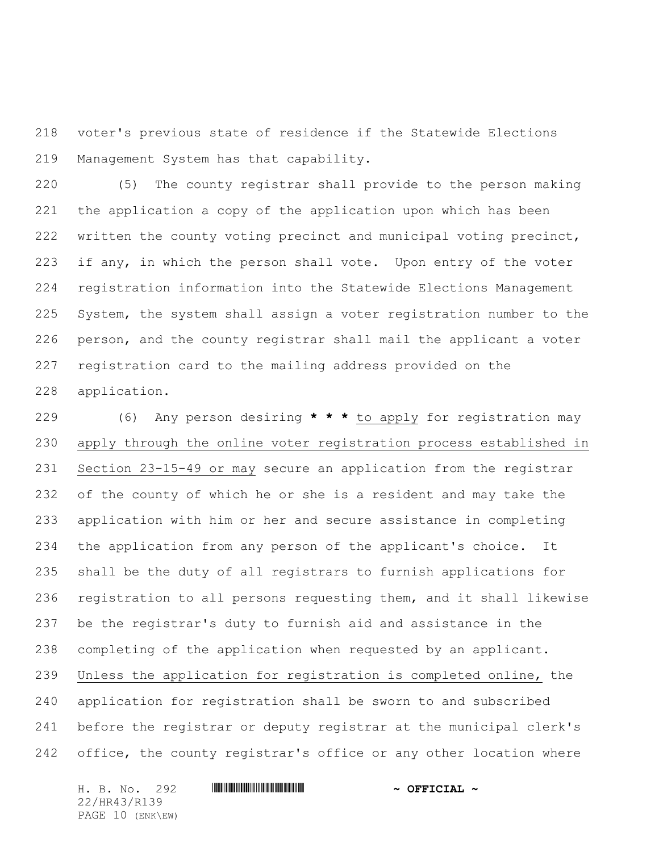voter's previous state of residence if the Statewide Elections Management System has that capability.

 (5) The county registrar shall provide to the person making the application a copy of the application upon which has been written the county voting precinct and municipal voting precinct, 223 if any, in which the person shall vote. Upon entry of the voter registration information into the Statewide Elections Management System, the system shall assign a voter registration number to the person, and the county registrar shall mail the applicant a voter registration card to the mailing address provided on the application.

 (6) Any person desiring **\* \* \*** to apply for registration may apply through the online voter registration process established in Section 23-15-49 or may secure an application from the registrar of the county of which he or she is a resident and may take the application with him or her and secure assistance in completing the application from any person of the applicant's choice. It shall be the duty of all registrars to furnish applications for registration to all persons requesting them, and it shall likewise be the registrar's duty to furnish aid and assistance in the completing of the application when requested by an applicant. Unless the application for registration is completed online, the application for registration shall be sworn to and subscribed before the registrar or deputy registrar at the municipal clerk's office, the county registrar's office or any other location where

H. B. No. 292 **. AND AND AN ART AND ARRIT AND A OFFICIAL ~** 22/HR43/R139 PAGE 10 (ENK\EW)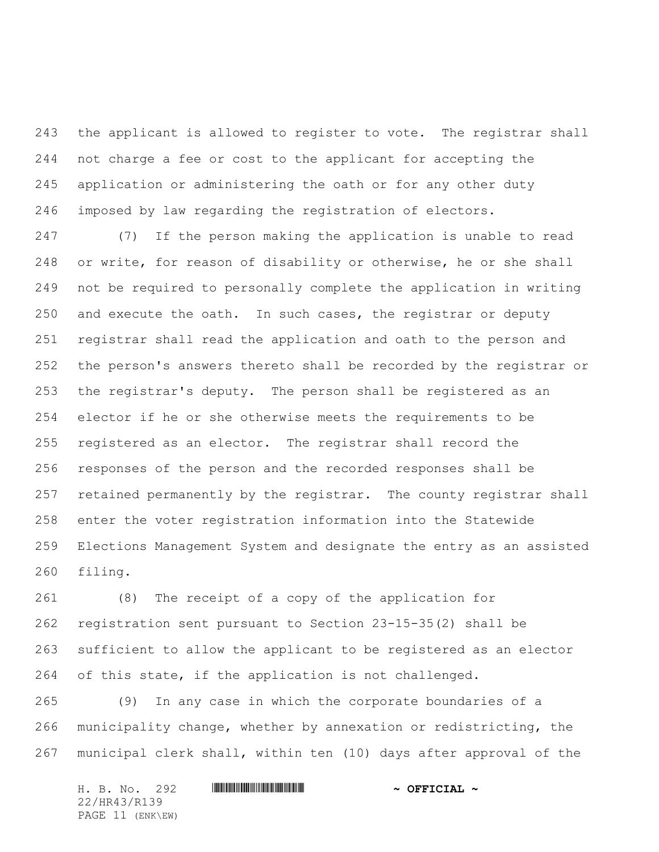the applicant is allowed to register to vote. The registrar shall not charge a fee or cost to the applicant for accepting the application or administering the oath or for any other duty imposed by law regarding the registration of electors.

 (7) If the person making the application is unable to read or write, for reason of disability or otherwise, he or she shall not be required to personally complete the application in writing and execute the oath. In such cases, the registrar or deputy registrar shall read the application and oath to the person and the person's answers thereto shall be recorded by the registrar or the registrar's deputy. The person shall be registered as an elector if he or she otherwise meets the requirements to be registered as an elector. The registrar shall record the responses of the person and the recorded responses shall be retained permanently by the registrar. The county registrar shall enter the voter registration information into the Statewide Elections Management System and designate the entry as an assisted filing.

 (8) The receipt of a copy of the application for registration sent pursuant to Section 23-15-35(2) shall be sufficient to allow the applicant to be registered as an elector of this state, if the application is not challenged.

 (9) In any case in which the corporate boundaries of a municipality change, whether by annexation or redistricting, the municipal clerk shall, within ten (10) days after approval of the

| H. B. No. 292    |  |  |  | $\sim$ OFFICIAL $\sim$ |
|------------------|--|--|--|------------------------|
| 22/HR43/R139     |  |  |  |                        |
| PAGE 11 (ENK\EW) |  |  |  |                        |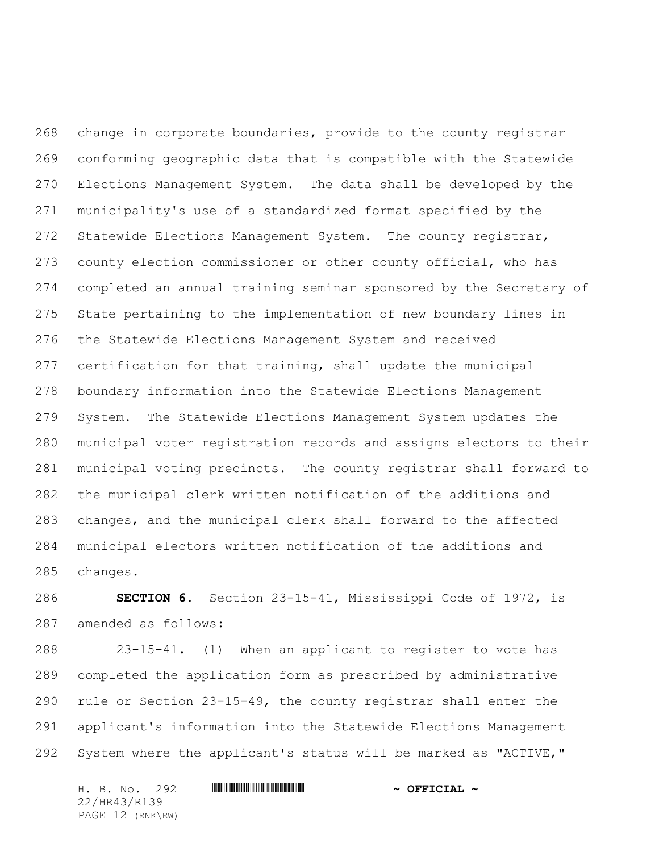change in corporate boundaries, provide to the county registrar conforming geographic data that is compatible with the Statewide Elections Management System. The data shall be developed by the municipality's use of a standardized format specified by the Statewide Elections Management System. The county registrar, county election commissioner or other county official, who has completed an annual training seminar sponsored by the Secretary of State pertaining to the implementation of new boundary lines in the Statewide Elections Management System and received certification for that training, shall update the municipal boundary information into the Statewide Elections Management System. The Statewide Elections Management System updates the municipal voter registration records and assigns electors to their municipal voting precincts. The county registrar shall forward to the municipal clerk written notification of the additions and changes, and the municipal clerk shall forward to the affected municipal electors written notification of the additions and changes.

 **SECTION 6.** Section 23-15-41, Mississippi Code of 1972, is amended as follows:

 23-15-41. (1) When an applicant to register to vote has completed the application form as prescribed by administrative rule or Section 23-15-49, the county registrar shall enter the applicant's information into the Statewide Elections Management System where the applicant's status will be marked as "ACTIVE,"

H. B. No. 292 **. AND AND AN ART AND ARRIT AND A OFFICIAL ~** 22/HR43/R139 PAGE 12 (ENK\EW)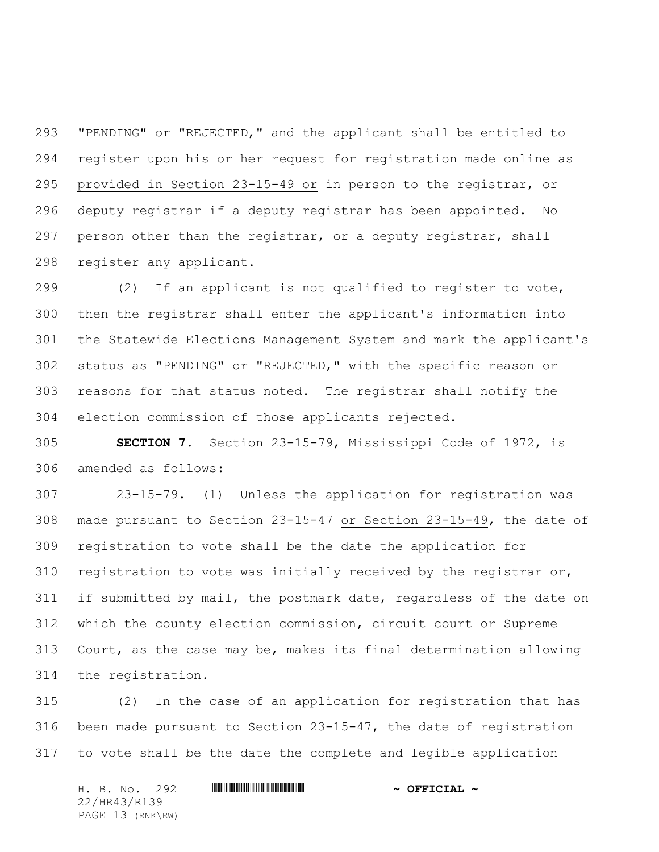"PENDING" or "REJECTED," and the applicant shall be entitled to register upon his or her request for registration made online as provided in Section 23-15-49 or in person to the registrar, or deputy registrar if a deputy registrar has been appointed. No person other than the registrar, or a deputy registrar, shall register any applicant.

 (2) If an applicant is not qualified to register to vote, then the registrar shall enter the applicant's information into the Statewide Elections Management System and mark the applicant's status as "PENDING" or "REJECTED," with the specific reason or reasons for that status noted. The registrar shall notify the election commission of those applicants rejected.

 **SECTION 7.** Section 23-15-79, Mississippi Code of 1972, is amended as follows:

 23-15-79. (1) Unless the application for registration was made pursuant to Section 23-15-47 or Section 23-15-49, the date of registration to vote shall be the date the application for 310 registration to vote was initially received by the registrar or, if submitted by mail, the postmark date, regardless of the date on which the county election commission, circuit court or Supreme Court, as the case may be, makes its final determination allowing the registration.

 (2) In the case of an application for registration that has been made pursuant to Section 23-15-47, the date of registration to vote shall be the date the complete and legible application

H. B. No. 292 \*HR43/R139\* **~ OFFICIAL ~** 22/HR43/R139 PAGE 13 (ENK\EW)